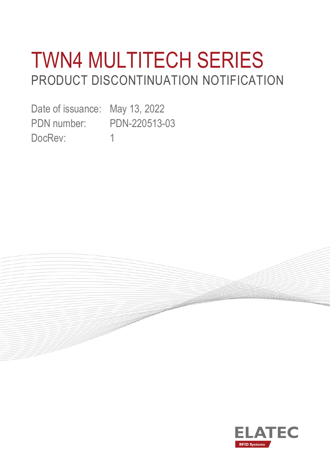# TWN4 MULTITECH SERIES PRODUCT DISCONTINUATION NOTIFICATION

**CONSTANTINO** 

Date of issuance: May 13, 2022 PDN number: PDN-220513-03 DocRev: 1

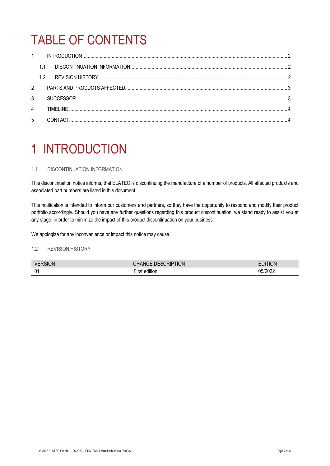## TABLE OF CONTENTS

|                | 1.1       |  |
|----------------|-----------|--|
|                | 1.2       |  |
| $\overline{2}$ |           |  |
| 3              |           |  |
| $\overline{4}$ | TIMFI INF |  |
| 5              |           |  |

### <span id="page-1-0"></span>1 INTRODUCTION

### <span id="page-1-1"></span>1.1 DISCONTINUATION INFORMATION

This discontinuation notice informs, that ELATEC is discontinuing the manufacture of a number of products. All affected products and associated part numbers are listed in this document.

This notification is intended to inform our customers and partners, so they have the opportunity to respond and modify their product portfolio accordingly. Should you have any further questions regarding this product discontinuation, we stand ready to assist you at any stage, in order to minimize the impact of this product discontinuation on your business.

We apologize for any inconvenience or impact this notice may cause.

### <span id="page-1-2"></span>1.2 REVISION HISTORY

| VF<br>ואו    | <b>TION</b><br>JRIP<br>┅ | JN      |
|--------------|--------------------------|---------|
| 01<br>$\sim$ | <br>difior<br>a m        | 05/2020 |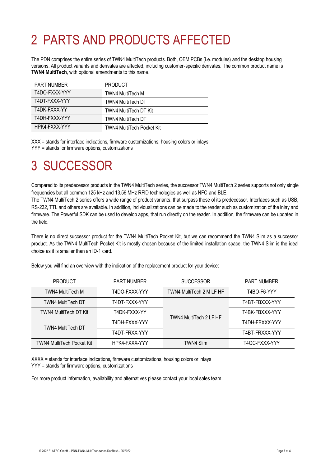## <span id="page-2-0"></span>2 PARTS AND PRODUCTS AFFECTED

The PDN comprises the entire series of TWN4 MultiTech products. Both, OEM PCBs (i.e. modules) and the desktop housing versions. All product variants and derivates are affected, including customer-specific derivates. The common product name is **TWN4 MultiTech**, with optional amendments to this name.

| <b>PART NUMBER</b> | <b>PRODUCT</b>            |
|--------------------|---------------------------|
| T4DO-FXXX-YYY      | TWN4 MultiTech M          |
| T4DT-FXXX-YYY      | TWN4 MultiTech DT         |
| T4DK-FXXX-YY       | TWN4 MultiTech DT Kit     |
| T4DH-FXXX-YYY      | TWN4 MultiTech DT         |
| HPK4-FXXX-YYY      | TWN4 MultiTech Pocket Kit |

XXX = stands for interface indications, firmware customizations, housing colors or inlays YYY = stands for firmware options, customizations

### <span id="page-2-1"></span>3 SUCCESSOR

Compared to its predecessor products in the TWN4 MultiTech series, the successor TWN4 MultiTech 2 series supports not only single frequencies but all common 125 kHz and 13.56 MHz RFID technologies as well as NFC and BLE.

The TWN4 MultiTech 2 series offers a wide range of product variants, that surpass those of its predecessor. Interfaces such as USB, RS-232, TTL and others are available. In addition, individualizations can be made to the reader such as customization of the inlay and firmware. The Powerful SDK can be used to develop apps, that run directly on the reader. In addition, the firmware can be updated in the field.

There is no direct successor product for the TWN4 MultiTech Pocket Kit, but we can recommend the TWN4 Slim as a successor product. As the TWN4 MultiTech Pocket Kit is mostly chosen because of the limited installation space, the TWN4 Slim is the ideal choice as it is smaller than an ID-1 card.

| <b>PRODUCT</b>            | <b>PART NUMBER</b> | <b>SUCCESSOR</b>         | <b>PART NUMBER</b> |
|---------------------------|--------------------|--------------------------|--------------------|
| TWN4 MultiTech M          | T4DO-FXXX-YYY      | TWN4 MultiTech 2 M LF HF | T4BO-F6-YYY        |
| <b>TWN4 MultiTech DT</b>  | T4DT-FXXX-YYY      | TWN4 MultiTech 2 LF HF   | T4BT-FBXXX-YYY     |
| TWN4 MultiTech DT Kit     | T4DK-FXXX-YY       |                          | T4BK-FBXXX-YYY     |
| <b>TWN4 MultiTech DT</b>  | T4DH-FXXX-YYY      |                          | T4DH-FBXXX-YYY     |
|                           | T4DT-FRXX-YYY      |                          | T4BT-FRXXX-YYY     |
| TWN4 MultiTech Pocket Kit | HPK4-FXXX-YYY      | <b>TWN4 Slim</b>         | T4OC-FXXX-YYY      |

Below you will find an overview with the indication of the replacement product for your device:

XXXX = stands for interface indications, firmware customizations, housing colors or inlays YYY = stands for firmware options, customizations

For more product information, availability and alternatives please contact your local sales team.